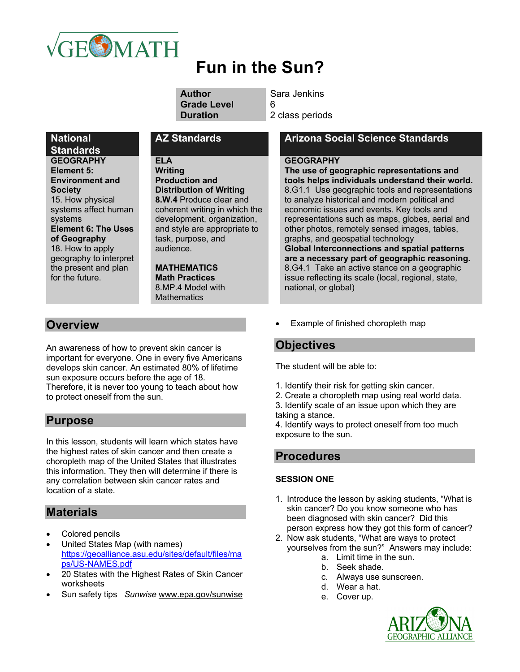

# **Fun in the Sun?**

| Author             | S |
|--------------------|---|
| <b>Grade Level</b> | 6 |
| <b>Duration</b>    | 2 |

**Sara Jenkins** 

2 class periods

## **National**

**Standards GEOGRAPHY Element 5: Environment and Society** 15. How physical systems affect human systems **Element 6: The Uses of Geography**  18. How to apply geography to interpret the present and plan for the future.

#### **ELA**

**Writing Production and Distribution of Writing 8.W.4** Produce clear and coherent writing in which the development, organization, and style are appropriate to task, purpose, and audience.

#### **MATHEMATICS Math Practices** 8.MP.4 Model with **Mathematics**

## **Overview**

An awareness of how to prevent skin cancer is important for everyone. One in every five Americans develops skin cancer. An estimated 80% of lifetime sun exposure occurs before the age of 18. Therefore, it is never too young to teach about how to protect oneself from the sun.

## **Purpose**

In this lesson, students will learn which states have the highest rates of skin cancer and then create a choropleth map of the United States that illustrates this information. They then will determine if there is any correlation between skin cancer rates and location of a state.

## **Materials**

- Colored pencils
- United States Map (with names) https://geoalliance.asu.edu/sites/default/files/ma ps/US-NAMES.pdf
- 20 States with the Highest Rates of Skin Cancer worksheets
- Sun safety tips *Sunwise* www.epa.gov/sunwise

## **AZ Standards Arizona Social Science Standards**

#### **GEOGRAPHY**

**The use of geographic representations and tools helps individuals understand their world.** 8.G1.1 Use geographic tools and representations to analyze historical and modern political and economic issues and events. Key tools and representations such as maps, globes, aerial and other photos, remotely sensed images, tables, graphs, and geospatial technology **Global Interconnections and spatial patterns are a necessary part of geographic reasoning.** 8.G4.1 Take an active stance on a geographic issue reflecting its scale (local, regional, state, national, or global)

Example of finished choropleth map

## **Objectives**

The student will be able to:

- 1. Identify their risk for getting skin cancer.
- 2. Create a choropleth map using real world data.
- 3. Identify scale of an issue upon which they are taking a stance.

4. Identify ways to protect oneself from too much exposure to the sun.

## **Procedures**

#### **SESSION ONE**

- 1. Introduce the lesson by asking students, "What is skin cancer? Do you know someone who has been diagnosed with skin cancer? Did this person express how they got this form of cancer?
- 2. Now ask students, "What are ways to protect yourselves from the sun?" Answers may include:
	- a. Limit time in the sun.
	- b. Seek shade.
	- c. Always use sunscreen.
	- d. Wear a hat.
	- e. Cover up.